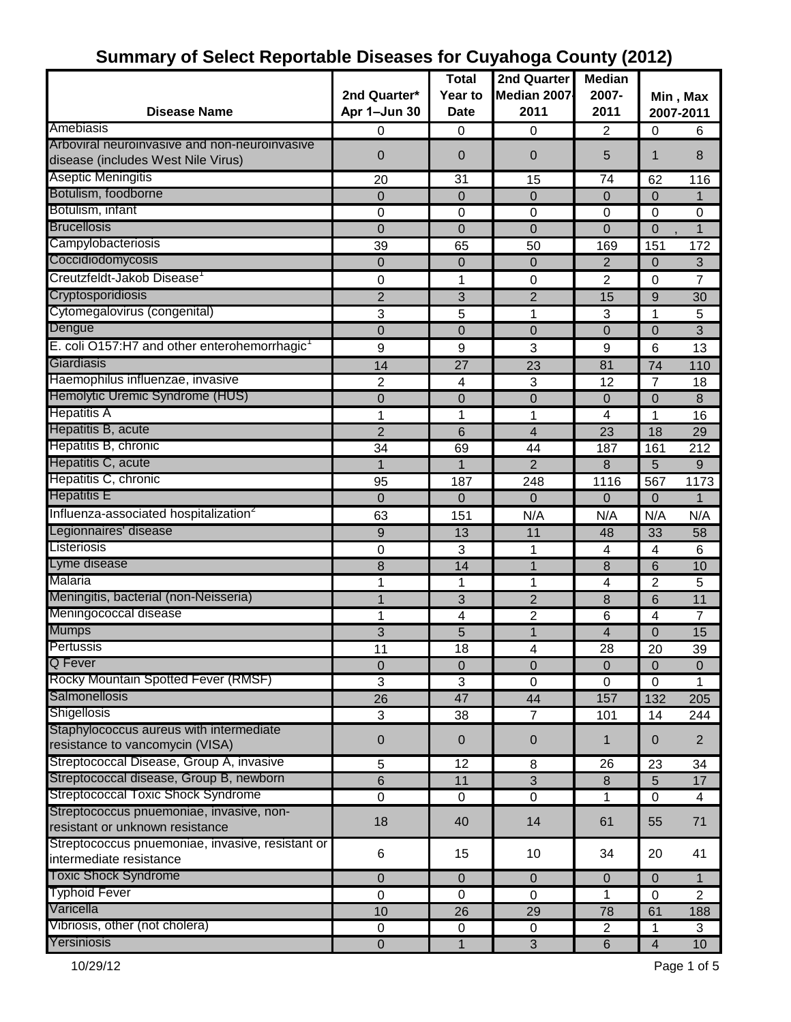| <b>Disease Name</b>                                                                 | 2nd Quarter*<br>Apr 1-Jun 30 | <b>Total</b><br>Year to<br><b>Date</b> | 2nd Quarter<br>Median 2007<br>2011 | <b>Median</b><br>2007-<br>2011 | Min, Max<br>2007-2011 |                |
|-------------------------------------------------------------------------------------|------------------------------|----------------------------------------|------------------------------------|--------------------------------|-----------------------|----------------|
| Amebiasis                                                                           | 0                            | 0                                      | 0                                  | 2                              | 0                     | 6              |
| Arboviral neuroinvasive and non-neuroinvasive<br>disease (includes West Nile Virus) | 0                            | $\mathbf 0$                            | 0                                  | 5                              | 1                     | 8              |
| Aseptic Meningitis                                                                  | 20                           | $\overline{31}$                        | 15                                 | 74                             | 62                    | 116            |
| Botulism, foodborne                                                                 | 0                            | $\overline{0}$                         | 0                                  | 0                              | $\overline{0}$        | 1              |
| Botulism, infant                                                                    | $\mathbf 0$                  | 0                                      | 0                                  | 0                              | 0                     | 0              |
| <b>Brucellosis</b>                                                                  | $\overline{0}$               | 0                                      | 0                                  | 0                              | $\overline{0}$        | 1              |
| Campylobacteriosis                                                                  | 39                           | 65                                     | 50                                 | 169                            | 151                   | 172            |
| Coccidiodomycosis                                                                   | 0                            | 0                                      | 0                                  | 2                              | 0                     | 3              |
| Creutzfeldt-Jakob Disease                                                           | 0                            | 1                                      | 0                                  | $\overline{c}$                 | 0                     | 7              |
| Cryptosporidiosis                                                                   | $\overline{2}$               | 3                                      | $\overline{2}$                     | 15                             | 9                     | 30             |
| Cytomegalovirus (congenital)                                                        | 3                            | 5                                      | 1                                  | 3                              | 1                     | 5              |
| Dengue                                                                              | 0                            | 0                                      | 0                                  | 0                              | $\mathbf 0$           | 3              |
| E. coli O157:H7 and other enterohemorrhagic <sup>1</sup>                            | 9                            | 9                                      | 3                                  | 9                              | 6                     | 13             |
| Giardiasis                                                                          | 14                           | $\overline{27}$                        | 23                                 | 81                             | $\overline{74}$       | 110            |
| Haemophilus influenzae, invasive                                                    | $\overline{c}$               | 4                                      | 3                                  | 12                             | $\overline{7}$        | 18             |
| Hemolytic Uremic Syndrome (HUS)                                                     | $\overline{0}$               | 0                                      | $\overline{0}$                     | 0                              | $\overline{0}$        | 8              |
| <b>Hepatitis A</b>                                                                  | 1                            | 1                                      | 1                                  | 4                              | 1                     | 16             |
| Hepatitis B, acute                                                                  | $\overline{2}$               | 6                                      | $\overline{4}$                     | 23                             | 18                    | 29             |
| Hepatitis B, chronic                                                                | 34                           | 69                                     | 44                                 | 187                            | 161                   | 212            |
| Hepatitis C, acute                                                                  | 1                            | 1                                      | $\overline{2}$                     | 8                              | 5                     | 9              |
| Hepatitis C, chronic                                                                | 95                           | 187                                    | 248                                | 1116                           | 567                   | 1173           |
| <b>Hepatitis E</b>                                                                  | $\mathbf 0$                  | $\Omega$                               | $\Omega$                           | 0                              | $\mathbf 0$           | 1              |
| Influenza-associated hospitalization <sup>2</sup>                                   | 63                           | 151                                    | N/A                                | N/A                            | N/A                   | N/A            |
| Legionnaires' disease                                                               | 9                            | 13                                     | 11                                 | 48                             | 33                    | 58             |
| Listeriosis                                                                         | 0                            | 3                                      | 1                                  | 4                              | 4                     | 6              |
| Lyme disease                                                                        | 8                            | 14                                     | $\mathbf{1}$                       | 8                              | 6                     | 10             |
| Malaria                                                                             | 1                            | 1                                      | 1                                  | 4                              | $\overline{2}$        | 5              |
| Meningitis, bacterial (non-Neisseria)                                               | 1                            | 3                                      | $\overline{2}$                     | 8                              | 6                     | 11             |
| Meningococcal disease                                                               | 1                            | 4                                      | $\overline{2}$                     | 6                              | 4                     | 7              |
| <b>Mumps</b>                                                                        | 3                            | 5                                      | $\mathbf 1$                        | $\overline{4}$                 | $\mathbf 0$           | 15             |
| Pertussis                                                                           | 11                           | 18                                     | 4                                  | 28                             | 20                    | 39             |
| Q Fever                                                                             | 0                            | 0                                      | 0                                  | 0                              | $\Omega$              | 0              |
| Rocky Mountain Spotted Fever (RMSF)                                                 | $\overline{3}$               | 3                                      | 0                                  | 0                              | 0                     | 1              |
| Salmonellosis                                                                       | $\overline{26}$              | 47                                     | 44                                 | 157                            | 132                   | 205            |
| Shigellosis                                                                         | 3                            | 38                                     | 7                                  | 101                            | 14                    | 244            |
| Staphylococcus aureus with intermediate                                             |                              | $\mathbf 0$                            | $\pmb{0}$                          | $\mathbf{1}$                   | $\mathbf{0}$          | $\overline{2}$ |
| resistance to vancomycin (VISA)                                                     | $\pmb{0}$                    |                                        |                                    |                                |                       |                |
| Streptococcal Disease, Group A, invasive                                            | $\overline{5}$               | $\overline{12}$                        | 8                                  | 26                             | 23                    | 34             |
| Streptococcal disease, Group B, newborn                                             | 6                            | 11                                     | $\sqrt{3}$                         | 8                              | 5                     | 17             |
| Streptococcal Toxic Shock Syndrome                                                  | $\mathbf 0$                  | 0                                      | 0                                  | 1                              | 0                     | 4              |
| Streptococcus pnuemoniae, invasive, non-<br>resistant or unknown resistance         | 18                           | 40                                     | 14                                 | 61                             | 55                    | 71             |
| Streptococcus pnuemoniae, invasive, resistant or<br>intermediate resistance         | 6                            | 15                                     | 10                                 | 34                             | 20                    | 41             |
| <b>Toxic Shock Syndrome</b>                                                         | 0                            | $\mathbf 0$                            | $\pmb{0}$                          | 0                              | $\mathbf 0$           | 1              |
| Typhoid Fever                                                                       | $\mathbf 0$                  | $\pmb{0}$                              | 0                                  | 1                              | $\mathbf 0$           | $\overline{2}$ |
| Varicella                                                                           | 10                           | 26                                     | 29                                 | 78                             | 61                    | 188            |
| Vibriosis, other (not cholera)                                                      | $\mathbf 0$                  | 0                                      | $\pmb{0}$                          | 2                              | 1                     | 3              |
| Yersiniosis                                                                         | 0                            | $\mathbf{1}$                           | $\overline{3}$                     | 6                              | $\overline{4}$        | 10             |

# **Summary of Select Reportable Diseases for Cuyahoga County (2012)**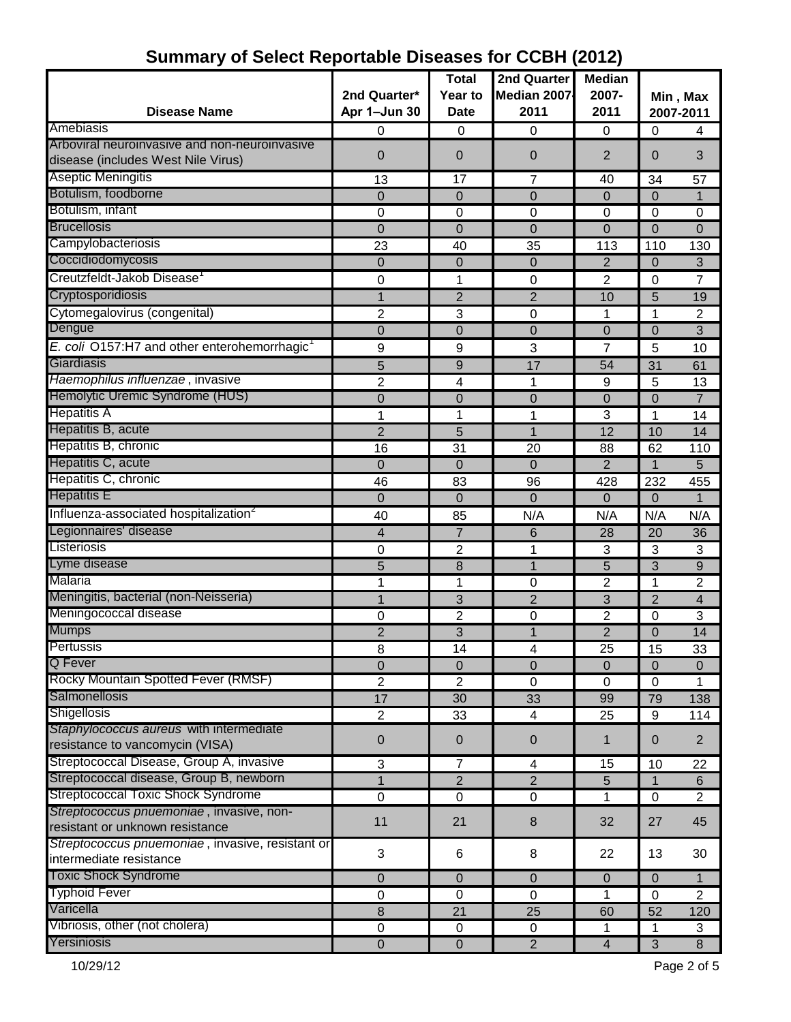|                                                                                     |                | <b>Total</b>             | 2nd Quarter         | <b>Median</b>       |                     |                |  |
|-------------------------------------------------------------------------------------|----------------|--------------------------|---------------------|---------------------|---------------------|----------------|--|
|                                                                                     | 2nd Quarter*   | Year to                  | Median 2007         | 2007-               |                     | Min, Max       |  |
| <b>Disease Name</b>                                                                 | Apr 1-Jun 30   | <b>Date</b>              | 2011                | 2011                |                     | 2007-2011      |  |
| Amebiasis                                                                           | 0              | 0                        | 0                   | $\Omega$            | $\mathbf 0$         | 4              |  |
| Arboviral neuroinvasive and non-neuroinvasive                                       |                |                          |                     |                     |                     |                |  |
| disease (includes West Nile Virus)                                                  | 0              | $\overline{0}$           | 0                   | $\overline{2}$      | 0                   | 3              |  |
| <b>Aseptic Meningitis</b>                                                           | 13             | 17                       | $\overline{7}$      | 40                  | 34                  | 57             |  |
| Botulism, foodborne                                                                 | $\overline{0}$ | $\mathbf 0$              | 0                   | 0                   | $\overline{0}$      | 1              |  |
| Botulism, infant                                                                    | 0              | $\Omega$                 | 0                   | 0                   | 0                   | 0              |  |
| <b>Brucellosis</b>                                                                  | 0              | 0                        | 0                   | 0                   | 0                   | 0              |  |
| Campylobacteriosis                                                                  | 23             | 40                       | 35                  | 113                 | 110                 | 130            |  |
| Coccidiodomycosis                                                                   | 0              | $\overline{0}$           | 0                   | $\overline{2}$      | $\overline{0}$      | 3              |  |
| Creutzfeldt-Jakob Disease                                                           | 0              | 1                        | 0                   | 2                   | 0                   | 7              |  |
| Cryptosporidiosis                                                                   | 1              | $\overline{2}$           | $\overline{c}$      | 10                  | 5                   | 19             |  |
| Cytomegalovirus (congenital)                                                        | $\overline{2}$ | 3                        | 0                   | 1                   | 1                   | 2              |  |
| Dengue                                                                              | 0              | $\mathbf 0$              | 0                   | 0                   | 0                   | 3              |  |
| E. coli O157:H7 and other enterohemorrhagic <sup>1</sup>                            | 9              | 9                        | 3                   | 7                   | 5                   | 10             |  |
| Giardiasis                                                                          | 5              | 9                        | 17                  | 54                  | 31                  | 61             |  |
| Haemophilus influenzae, invasive                                                    | 2              | 4                        | 1                   | 9                   | 5                   | 13             |  |
| Hemolytic Uremic Syndrome (HUS)                                                     | 0              | $\Omega$                 | $\mathbf 0$         | 0                   | $\Omega$            | $\overline{7}$ |  |
| <b>Hepatitis A</b>                                                                  | 1              | 1                        | 1                   | 3                   | 1                   | 14             |  |
| Hepatitis B, acute                                                                  | $\overline{2}$ | 5                        | $\mathbf 1$         | 12                  | 10                  | 14             |  |
| Hepatitis B, chronic                                                                | 16             | 31                       | 20                  | 88                  | 62                  | 110            |  |
| Hepatitis C, acute                                                                  | 0              | $\Omega$                 | $\Omega$            | $\overline{2}$      | $\overline{1}$      | 5              |  |
| Hepatitis C, chronic                                                                | 46             | 83                       | 96                  | 428                 | 232                 | 455            |  |
| <b>Hepatitis E</b>                                                                  | 0              | $\mathbf 0$              | 0                   | 0                   | 0                   | 1              |  |
| Influenza-associated hospitalization <sup>2</sup>                                   | 40             | 85                       | N/A                 | N/A                 | N/A                 | N/A            |  |
| Legionnaires' disease                                                               | 4              | $\overline{7}$           | 6                   | 28                  | 20                  | 36             |  |
| Listeriosis                                                                         | 0              | $\overline{2}$           | 1                   | 3                   | 3                   | 3              |  |
| Lyme disease                                                                        | 5              | 8                        | 1                   | 5                   | 3                   | 9              |  |
| Malaria                                                                             | 1              | 1                        | 0                   | $\overline{2}$      | 1                   | 2              |  |
| Meningitis, bacterial (non-Neisseria)                                               | 1              | 3                        | $\overline{c}$      | 3                   | $\overline{2}$      | 4              |  |
| Meningococcal disease                                                               | 0              | 2                        | 0                   | 2                   | 0                   | 3              |  |
| <b>Mumps</b>                                                                        | $\overline{2}$ | 3                        |                     | $\overline{2}$      | 0                   | 14             |  |
| Pertussis                                                                           | 8              | $\overline{14}$          | 4                   | $\overline{25}$     | 15                  | 33             |  |
| Q Fever                                                                             | $\overline{0}$ | $\Omega$                 | $\overline{0}$      | 0                   | $\Omega$            | $\Omega$       |  |
| Rocky Mountain Spotted Fever (RMSF)                                                 | $\overline{2}$ | $\overline{2}$           | $\mathbf 0$         | $\mathbf 0$         | $\overline{0}$      | 1              |  |
| Salmonellosis                                                                       | 17             | 30                       | 33                  | 99                  | 79                  | 138            |  |
| Shigellosis                                                                         | $\mathbf{2}$   | 33                       | 4                   | 25                  | 9                   | 114            |  |
| Staphylococcus aureus with intermediate                                             | $\mathbf 0$    | $\mathbf{0}$             | 0                   | 1                   | $\mathbf 0$         | $\overline{2}$ |  |
| resistance to vancomycin (VISA)                                                     |                |                          |                     |                     |                     |                |  |
| Streptococcal Disease, Group A, invasive<br>Streptococcal disease, Group B, newborn | 3              | $\overline{7}$           | 4                   | 15                  | 10                  | 22             |  |
| <b>Streptococcal Toxic Shock Syndrome</b>                                           | 1              | $\overline{2}$           | $\mathbf{2}$        | 5                   | $\mathbf 1$         | 6              |  |
| Streptococcus pnuemoniae, invasive, non-                                            | 0              | $\mathbf 0$              | $\pmb{0}$           | 1                   | $\boldsymbol{0}$    | $\overline{2}$ |  |
| resistant or unknown resistance                                                     | 11             | 21                       | 8                   | 32                  | 27                  | 45             |  |
| Streptococcus pnuemoniae, invasive, resistant or<br>intermediate resistance         | 3              | 6                        | 8                   | 22                  | 13                  | 30             |  |
| <b>Toxic Shock Syndrome</b>                                                         |                |                          |                     |                     |                     |                |  |
| <b>Typhoid Fever</b>                                                                | 0              | $\mathbf 0$              | $\pmb{0}$           | $\pmb{0}$           | $\overline{0}$      | 1              |  |
| Varicella                                                                           | 0              | 0                        | 0                   | 1                   | 0                   | $\overline{2}$ |  |
| Vibriosis, other (not cholera)                                                      | 8              | $\overline{21}$          | 25                  | 60                  | 52                  | 120            |  |
| Yersiniosis                                                                         | $\pmb{0}$<br>0 | $\pmb{0}$<br>$\mathbf 0$ | 0<br>$\overline{2}$ | 1<br>$\overline{4}$ | 1<br>$\overline{3}$ | 3<br>8         |  |
|                                                                                     |                |                          |                     |                     |                     |                |  |

### **Summary of Select Reportable Diseases for CCBH (2012)**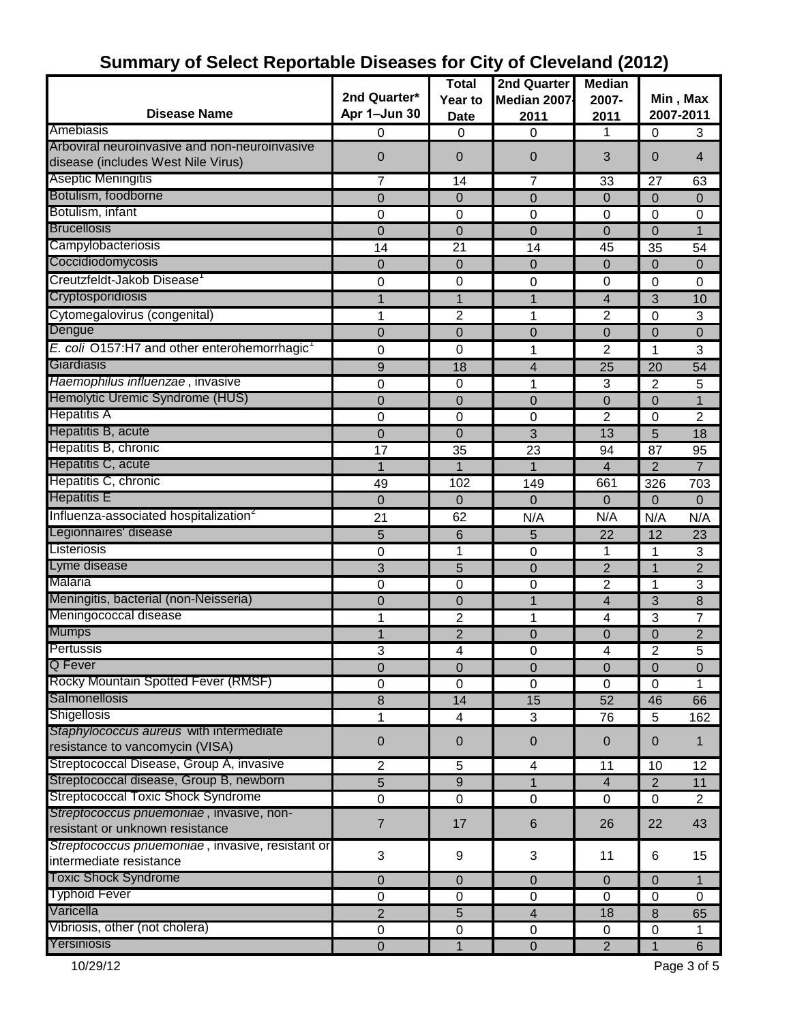| 2nd Quarter*<br>Min, Max<br>Median 2007<br>2007-<br>Year to<br>Apr 1-Jun 30<br><b>Disease Name</b><br>2007-2011<br>2011<br>2011<br><b>Date</b><br>Amebiasis<br>0<br>3<br>0<br>0<br>0<br>1<br>Arboviral neuroinvasive and non-neuroinvasive<br>0<br>3<br>$\Omega$<br>0<br>0<br>4<br>disease (includes West Nile Virus)<br>Aseptic Meningitis<br>14<br>$\overline{7}$<br>33<br>27<br>7<br>63<br>Botulism, foodborne<br>0<br>0<br>$\overline{0}$<br>0<br>$\overline{0}$<br>$\mathbf 0$<br>Botulism, infant<br>0<br>0<br>0<br>0<br>0<br>0<br>0<br>0<br>$\overline{0}$<br>$\mathbf 0$<br>$\Omega$<br>$\mathbf 1$<br>Campylobacteriosis<br>35<br>14<br>21<br>14<br>45<br>54<br>Coccidiodomycosis<br>0<br>$\overline{0}$<br>0<br>$\Omega$<br>0<br>0<br>Creutzfeldt-Jakob Disease <sup>1</sup><br>0<br>0<br>0<br>0<br>0<br>0<br>Cryptosporidiosis<br>1<br>3<br>1<br>1<br>4<br>10<br>Cytomegalovirus (congenital)<br>$\overline{c}$<br>2<br>0<br>1<br>1<br>3<br>Dengue<br>0<br>$\mathbf 0$<br>0<br>0<br>$\overline{0}$<br>$\mathbf 0$<br>E. coli O157:H7 and other enterohemorrhagic <sup>1</sup><br>0<br>$\Omega$<br>1<br>2<br>3<br>1<br>Giardiasis<br>9<br>18<br>$\overline{\mathbf{4}}$<br>25<br>20<br>54<br>Haemophilus influenzae, invasive<br>3<br>$\overline{2}$<br>0<br>0<br>1<br>5<br>Hemolytic Uremic Syndrome (HUS)<br>$\overline{0}$<br>0<br>0<br>$\overline{0}$<br>0<br>1<br><b>Hepatitis A</b><br>0<br>$\mathbf 0$<br>$\overline{2}$<br>0<br>0<br>2<br>Hepatitis B, acute<br>5<br>0<br>3<br>13<br>$\overline{0}$<br>18<br>Hepatitis B, chronic<br>35<br>87<br>17<br>23<br>94<br>95<br>Hepatitis C, acute<br>1<br>2<br>$\overline{7}$<br>1<br>4<br>Hepatitis C, chronic<br>49<br>102<br>149<br>326<br>703<br>661<br><b>Hepatitis E</b><br>0<br>$\Omega$<br>$\Omega$<br>0<br>$\overline{0}$<br>$\Omega$<br>Influenza-associated hospitalization <sup>2</sup><br>N/A<br>N/A<br>21<br>62<br>N/A<br>N/A<br>Legionnaires' disease<br>6<br>22<br>12<br>5<br>5<br>23<br>Listeriosis<br>0<br>1<br>0<br>3<br>1<br>1<br>Lyme disease<br>3<br>$\overline{2}$<br>$\overline{c}$<br>5<br>0<br>Malaria<br>0<br>0<br>0<br>2<br>3<br>1<br>Meningitis, bacterial (non-Neisseria)<br>3<br>0<br>$\Omega$<br>4<br>8<br>1<br>Meningococcal disease<br>7<br>3<br>1<br>2<br>1<br>4<br><b>Mumps</b><br>$\overline{2}$<br>$\overline{0}$<br>$\overline{2}$<br>$\mathbf 0$<br>0<br>Pertussis<br>з<br>4<br>U<br>4<br>$\mathbf{z}$<br>5<br>Q Fever<br>$\mathbf 0$<br>$\mathbf 0$<br>0<br>$\pmb{0}$<br>$\mathbf 0$<br>$\mathbf 0$<br>Rocky Mountain Spotted Fever (RMSF)<br>0<br>0<br>0<br>0<br>$\mathbf 0$<br>1<br><b>Salmonellosis</b><br>8<br>14<br>15<br>52<br>46<br>66<br>Shigellosis<br>1<br>3<br>76<br>5<br>162<br>4<br>Staphylococcus aureus with intermediate<br>0<br>$\mathbf 0$<br>0<br>0<br>$\mathbf 1$<br>$\mathbf{0}$<br>resistance to vancomycin (VISA)<br>Streptococcal Disease, Group A, invasive<br>$\overline{2}$<br>$\overline{4}$<br>5<br>11<br>10<br>12<br>Streptococcal disease, Group B, newborn<br>$\boldsymbol{9}$<br>5<br>$\overline{4}$<br>$\overline{2}$<br>1<br>11<br><b>Streptococcal Toxic Shock Syndrome</b><br>0<br>$\pmb{0}$<br>$\pmb{0}$<br>0<br>2<br>0<br>Streptococcus pnuemoniae, invasive, non-<br>43<br>$\overline{7}$<br>17<br>6<br>26<br>22<br>resistant or unknown resistance<br>Streptococcus pnuemoniae, invasive, resistant or<br>3<br>9<br>3<br>11<br>15<br>6<br>intermediate resistance<br><b>Toxic Shock Syndrome</b><br>$\overline{0}$<br>$\pmb{0}$<br>$\Omega$<br>0<br>0<br>1<br><b>Typhoid Fever</b><br>0<br>$\mathbf 0$<br>$\boldsymbol{0}$<br>0<br>$\mathbf 0$<br>0<br>Varicella<br>$\overline{2}$<br>5<br>$\overline{\mathbf{4}}$<br>18<br>8<br>65<br>Vibriosis, other (not cholera)<br>$\pmb{0}$<br>$\pmb{0}$<br>$\pmb{0}$<br>0<br>0<br>1<br>Yersiniosis<br>$\pmb{0}$<br>$\pmb{0}$<br>$\overline{2}$<br>$\mathbf{1}$<br>$6\phantom{1}$<br>1 |                    | <b>Total</b> | <b>2nd Quarter</b> | <b>Median</b> |  |  |
|-----------------------------------------------------------------------------------------------------------------------------------------------------------------------------------------------------------------------------------------------------------------------------------------------------------------------------------------------------------------------------------------------------------------------------------------------------------------------------------------------------------------------------------------------------------------------------------------------------------------------------------------------------------------------------------------------------------------------------------------------------------------------------------------------------------------------------------------------------------------------------------------------------------------------------------------------------------------------------------------------------------------------------------------------------------------------------------------------------------------------------------------------------------------------------------------------------------------------------------------------------------------------------------------------------------------------------------------------------------------------------------------------------------------------------------------------------------------------------------------------------------------------------------------------------------------------------------------------------------------------------------------------------------------------------------------------------------------------------------------------------------------------------------------------------------------------------------------------------------------------------------------------------------------------------------------------------------------------------------------------------------------------------------------------------------------------------------------------------------------------------------------------------------------------------------------------------------------------------------------------------------------------------------------------------------------------------------------------------------------------------------------------------------------------------------------------------------------------------------------------------------------------------------------------------------------------------------------------------------------------------------------------------------------------------------------------------------------------------------------------------------------------------------------------------------------------------------------------------------------------------------------------------------------------------------------------------------------------------------------------------------------------------------------------------------------------------------------------------------------------------------------------------------------------------------------------------------------------------------------------------------------------------------------------------------------------------------------------------------------------------------------------------------------------------------------------------------------------------------------------------------------------------------------------------------------------------------------------------------------------------------------------------------------------------------------------------------------------------------------------------------------------------------------------------------------------------------------------------------------------------|--------------------|--------------|--------------------|---------------|--|--|
|                                                                                                                                                                                                                                                                                                                                                                                                                                                                                                                                                                                                                                                                                                                                                                                                                                                                                                                                                                                                                                                                                                                                                                                                                                                                                                                                                                                                                                                                                                                                                                                                                                                                                                                                                                                                                                                                                                                                                                                                                                                                                                                                                                                                                                                                                                                                                                                                                                                                                                                                                                                                                                                                                                                                                                                                                                                                                                                                                                                                                                                                                                                                                                                                                                                                                                                                                                                                                                                                                                                                                                                                                                                                                                                                                                                                                                                                             |                    |              |                    |               |  |  |
|                                                                                                                                                                                                                                                                                                                                                                                                                                                                                                                                                                                                                                                                                                                                                                                                                                                                                                                                                                                                                                                                                                                                                                                                                                                                                                                                                                                                                                                                                                                                                                                                                                                                                                                                                                                                                                                                                                                                                                                                                                                                                                                                                                                                                                                                                                                                                                                                                                                                                                                                                                                                                                                                                                                                                                                                                                                                                                                                                                                                                                                                                                                                                                                                                                                                                                                                                                                                                                                                                                                                                                                                                                                                                                                                                                                                                                                                             |                    |              |                    |               |  |  |
|                                                                                                                                                                                                                                                                                                                                                                                                                                                                                                                                                                                                                                                                                                                                                                                                                                                                                                                                                                                                                                                                                                                                                                                                                                                                                                                                                                                                                                                                                                                                                                                                                                                                                                                                                                                                                                                                                                                                                                                                                                                                                                                                                                                                                                                                                                                                                                                                                                                                                                                                                                                                                                                                                                                                                                                                                                                                                                                                                                                                                                                                                                                                                                                                                                                                                                                                                                                                                                                                                                                                                                                                                                                                                                                                                                                                                                                                             |                    |              |                    |               |  |  |
|                                                                                                                                                                                                                                                                                                                                                                                                                                                                                                                                                                                                                                                                                                                                                                                                                                                                                                                                                                                                                                                                                                                                                                                                                                                                                                                                                                                                                                                                                                                                                                                                                                                                                                                                                                                                                                                                                                                                                                                                                                                                                                                                                                                                                                                                                                                                                                                                                                                                                                                                                                                                                                                                                                                                                                                                                                                                                                                                                                                                                                                                                                                                                                                                                                                                                                                                                                                                                                                                                                                                                                                                                                                                                                                                                                                                                                                                             |                    |              |                    |               |  |  |
|                                                                                                                                                                                                                                                                                                                                                                                                                                                                                                                                                                                                                                                                                                                                                                                                                                                                                                                                                                                                                                                                                                                                                                                                                                                                                                                                                                                                                                                                                                                                                                                                                                                                                                                                                                                                                                                                                                                                                                                                                                                                                                                                                                                                                                                                                                                                                                                                                                                                                                                                                                                                                                                                                                                                                                                                                                                                                                                                                                                                                                                                                                                                                                                                                                                                                                                                                                                                                                                                                                                                                                                                                                                                                                                                                                                                                                                                             |                    |              |                    |               |  |  |
|                                                                                                                                                                                                                                                                                                                                                                                                                                                                                                                                                                                                                                                                                                                                                                                                                                                                                                                                                                                                                                                                                                                                                                                                                                                                                                                                                                                                                                                                                                                                                                                                                                                                                                                                                                                                                                                                                                                                                                                                                                                                                                                                                                                                                                                                                                                                                                                                                                                                                                                                                                                                                                                                                                                                                                                                                                                                                                                                                                                                                                                                                                                                                                                                                                                                                                                                                                                                                                                                                                                                                                                                                                                                                                                                                                                                                                                                             |                    |              |                    |               |  |  |
|                                                                                                                                                                                                                                                                                                                                                                                                                                                                                                                                                                                                                                                                                                                                                                                                                                                                                                                                                                                                                                                                                                                                                                                                                                                                                                                                                                                                                                                                                                                                                                                                                                                                                                                                                                                                                                                                                                                                                                                                                                                                                                                                                                                                                                                                                                                                                                                                                                                                                                                                                                                                                                                                                                                                                                                                                                                                                                                                                                                                                                                                                                                                                                                                                                                                                                                                                                                                                                                                                                                                                                                                                                                                                                                                                                                                                                                                             |                    |              |                    |               |  |  |
|                                                                                                                                                                                                                                                                                                                                                                                                                                                                                                                                                                                                                                                                                                                                                                                                                                                                                                                                                                                                                                                                                                                                                                                                                                                                                                                                                                                                                                                                                                                                                                                                                                                                                                                                                                                                                                                                                                                                                                                                                                                                                                                                                                                                                                                                                                                                                                                                                                                                                                                                                                                                                                                                                                                                                                                                                                                                                                                                                                                                                                                                                                                                                                                                                                                                                                                                                                                                                                                                                                                                                                                                                                                                                                                                                                                                                                                                             |                    |              |                    |               |  |  |
|                                                                                                                                                                                                                                                                                                                                                                                                                                                                                                                                                                                                                                                                                                                                                                                                                                                                                                                                                                                                                                                                                                                                                                                                                                                                                                                                                                                                                                                                                                                                                                                                                                                                                                                                                                                                                                                                                                                                                                                                                                                                                                                                                                                                                                                                                                                                                                                                                                                                                                                                                                                                                                                                                                                                                                                                                                                                                                                                                                                                                                                                                                                                                                                                                                                                                                                                                                                                                                                                                                                                                                                                                                                                                                                                                                                                                                                                             | <b>Brucellosis</b> |              |                    |               |  |  |
|                                                                                                                                                                                                                                                                                                                                                                                                                                                                                                                                                                                                                                                                                                                                                                                                                                                                                                                                                                                                                                                                                                                                                                                                                                                                                                                                                                                                                                                                                                                                                                                                                                                                                                                                                                                                                                                                                                                                                                                                                                                                                                                                                                                                                                                                                                                                                                                                                                                                                                                                                                                                                                                                                                                                                                                                                                                                                                                                                                                                                                                                                                                                                                                                                                                                                                                                                                                                                                                                                                                                                                                                                                                                                                                                                                                                                                                                             |                    |              |                    |               |  |  |
|                                                                                                                                                                                                                                                                                                                                                                                                                                                                                                                                                                                                                                                                                                                                                                                                                                                                                                                                                                                                                                                                                                                                                                                                                                                                                                                                                                                                                                                                                                                                                                                                                                                                                                                                                                                                                                                                                                                                                                                                                                                                                                                                                                                                                                                                                                                                                                                                                                                                                                                                                                                                                                                                                                                                                                                                                                                                                                                                                                                                                                                                                                                                                                                                                                                                                                                                                                                                                                                                                                                                                                                                                                                                                                                                                                                                                                                                             |                    |              |                    |               |  |  |
|                                                                                                                                                                                                                                                                                                                                                                                                                                                                                                                                                                                                                                                                                                                                                                                                                                                                                                                                                                                                                                                                                                                                                                                                                                                                                                                                                                                                                                                                                                                                                                                                                                                                                                                                                                                                                                                                                                                                                                                                                                                                                                                                                                                                                                                                                                                                                                                                                                                                                                                                                                                                                                                                                                                                                                                                                                                                                                                                                                                                                                                                                                                                                                                                                                                                                                                                                                                                                                                                                                                                                                                                                                                                                                                                                                                                                                                                             |                    |              |                    |               |  |  |
|                                                                                                                                                                                                                                                                                                                                                                                                                                                                                                                                                                                                                                                                                                                                                                                                                                                                                                                                                                                                                                                                                                                                                                                                                                                                                                                                                                                                                                                                                                                                                                                                                                                                                                                                                                                                                                                                                                                                                                                                                                                                                                                                                                                                                                                                                                                                                                                                                                                                                                                                                                                                                                                                                                                                                                                                                                                                                                                                                                                                                                                                                                                                                                                                                                                                                                                                                                                                                                                                                                                                                                                                                                                                                                                                                                                                                                                                             |                    |              |                    |               |  |  |
|                                                                                                                                                                                                                                                                                                                                                                                                                                                                                                                                                                                                                                                                                                                                                                                                                                                                                                                                                                                                                                                                                                                                                                                                                                                                                                                                                                                                                                                                                                                                                                                                                                                                                                                                                                                                                                                                                                                                                                                                                                                                                                                                                                                                                                                                                                                                                                                                                                                                                                                                                                                                                                                                                                                                                                                                                                                                                                                                                                                                                                                                                                                                                                                                                                                                                                                                                                                                                                                                                                                                                                                                                                                                                                                                                                                                                                                                             |                    |              |                    |               |  |  |
|                                                                                                                                                                                                                                                                                                                                                                                                                                                                                                                                                                                                                                                                                                                                                                                                                                                                                                                                                                                                                                                                                                                                                                                                                                                                                                                                                                                                                                                                                                                                                                                                                                                                                                                                                                                                                                                                                                                                                                                                                                                                                                                                                                                                                                                                                                                                                                                                                                                                                                                                                                                                                                                                                                                                                                                                                                                                                                                                                                                                                                                                                                                                                                                                                                                                                                                                                                                                                                                                                                                                                                                                                                                                                                                                                                                                                                                                             |                    |              |                    |               |  |  |
|                                                                                                                                                                                                                                                                                                                                                                                                                                                                                                                                                                                                                                                                                                                                                                                                                                                                                                                                                                                                                                                                                                                                                                                                                                                                                                                                                                                                                                                                                                                                                                                                                                                                                                                                                                                                                                                                                                                                                                                                                                                                                                                                                                                                                                                                                                                                                                                                                                                                                                                                                                                                                                                                                                                                                                                                                                                                                                                                                                                                                                                                                                                                                                                                                                                                                                                                                                                                                                                                                                                                                                                                                                                                                                                                                                                                                                                                             |                    |              |                    |               |  |  |
|                                                                                                                                                                                                                                                                                                                                                                                                                                                                                                                                                                                                                                                                                                                                                                                                                                                                                                                                                                                                                                                                                                                                                                                                                                                                                                                                                                                                                                                                                                                                                                                                                                                                                                                                                                                                                                                                                                                                                                                                                                                                                                                                                                                                                                                                                                                                                                                                                                                                                                                                                                                                                                                                                                                                                                                                                                                                                                                                                                                                                                                                                                                                                                                                                                                                                                                                                                                                                                                                                                                                                                                                                                                                                                                                                                                                                                                                             |                    |              |                    |               |  |  |
|                                                                                                                                                                                                                                                                                                                                                                                                                                                                                                                                                                                                                                                                                                                                                                                                                                                                                                                                                                                                                                                                                                                                                                                                                                                                                                                                                                                                                                                                                                                                                                                                                                                                                                                                                                                                                                                                                                                                                                                                                                                                                                                                                                                                                                                                                                                                                                                                                                                                                                                                                                                                                                                                                                                                                                                                                                                                                                                                                                                                                                                                                                                                                                                                                                                                                                                                                                                                                                                                                                                                                                                                                                                                                                                                                                                                                                                                             |                    |              |                    |               |  |  |
|                                                                                                                                                                                                                                                                                                                                                                                                                                                                                                                                                                                                                                                                                                                                                                                                                                                                                                                                                                                                                                                                                                                                                                                                                                                                                                                                                                                                                                                                                                                                                                                                                                                                                                                                                                                                                                                                                                                                                                                                                                                                                                                                                                                                                                                                                                                                                                                                                                                                                                                                                                                                                                                                                                                                                                                                                                                                                                                                                                                                                                                                                                                                                                                                                                                                                                                                                                                                                                                                                                                                                                                                                                                                                                                                                                                                                                                                             |                    |              |                    |               |  |  |
|                                                                                                                                                                                                                                                                                                                                                                                                                                                                                                                                                                                                                                                                                                                                                                                                                                                                                                                                                                                                                                                                                                                                                                                                                                                                                                                                                                                                                                                                                                                                                                                                                                                                                                                                                                                                                                                                                                                                                                                                                                                                                                                                                                                                                                                                                                                                                                                                                                                                                                                                                                                                                                                                                                                                                                                                                                                                                                                                                                                                                                                                                                                                                                                                                                                                                                                                                                                                                                                                                                                                                                                                                                                                                                                                                                                                                                                                             |                    |              |                    |               |  |  |
|                                                                                                                                                                                                                                                                                                                                                                                                                                                                                                                                                                                                                                                                                                                                                                                                                                                                                                                                                                                                                                                                                                                                                                                                                                                                                                                                                                                                                                                                                                                                                                                                                                                                                                                                                                                                                                                                                                                                                                                                                                                                                                                                                                                                                                                                                                                                                                                                                                                                                                                                                                                                                                                                                                                                                                                                                                                                                                                                                                                                                                                                                                                                                                                                                                                                                                                                                                                                                                                                                                                                                                                                                                                                                                                                                                                                                                                                             |                    |              |                    |               |  |  |
|                                                                                                                                                                                                                                                                                                                                                                                                                                                                                                                                                                                                                                                                                                                                                                                                                                                                                                                                                                                                                                                                                                                                                                                                                                                                                                                                                                                                                                                                                                                                                                                                                                                                                                                                                                                                                                                                                                                                                                                                                                                                                                                                                                                                                                                                                                                                                                                                                                                                                                                                                                                                                                                                                                                                                                                                                                                                                                                                                                                                                                                                                                                                                                                                                                                                                                                                                                                                                                                                                                                                                                                                                                                                                                                                                                                                                                                                             |                    |              |                    |               |  |  |
|                                                                                                                                                                                                                                                                                                                                                                                                                                                                                                                                                                                                                                                                                                                                                                                                                                                                                                                                                                                                                                                                                                                                                                                                                                                                                                                                                                                                                                                                                                                                                                                                                                                                                                                                                                                                                                                                                                                                                                                                                                                                                                                                                                                                                                                                                                                                                                                                                                                                                                                                                                                                                                                                                                                                                                                                                                                                                                                                                                                                                                                                                                                                                                                                                                                                                                                                                                                                                                                                                                                                                                                                                                                                                                                                                                                                                                                                             |                    |              |                    |               |  |  |
|                                                                                                                                                                                                                                                                                                                                                                                                                                                                                                                                                                                                                                                                                                                                                                                                                                                                                                                                                                                                                                                                                                                                                                                                                                                                                                                                                                                                                                                                                                                                                                                                                                                                                                                                                                                                                                                                                                                                                                                                                                                                                                                                                                                                                                                                                                                                                                                                                                                                                                                                                                                                                                                                                                                                                                                                                                                                                                                                                                                                                                                                                                                                                                                                                                                                                                                                                                                                                                                                                                                                                                                                                                                                                                                                                                                                                                                                             |                    |              |                    |               |  |  |
|                                                                                                                                                                                                                                                                                                                                                                                                                                                                                                                                                                                                                                                                                                                                                                                                                                                                                                                                                                                                                                                                                                                                                                                                                                                                                                                                                                                                                                                                                                                                                                                                                                                                                                                                                                                                                                                                                                                                                                                                                                                                                                                                                                                                                                                                                                                                                                                                                                                                                                                                                                                                                                                                                                                                                                                                                                                                                                                                                                                                                                                                                                                                                                                                                                                                                                                                                                                                                                                                                                                                                                                                                                                                                                                                                                                                                                                                             |                    |              |                    |               |  |  |
|                                                                                                                                                                                                                                                                                                                                                                                                                                                                                                                                                                                                                                                                                                                                                                                                                                                                                                                                                                                                                                                                                                                                                                                                                                                                                                                                                                                                                                                                                                                                                                                                                                                                                                                                                                                                                                                                                                                                                                                                                                                                                                                                                                                                                                                                                                                                                                                                                                                                                                                                                                                                                                                                                                                                                                                                                                                                                                                                                                                                                                                                                                                                                                                                                                                                                                                                                                                                                                                                                                                                                                                                                                                                                                                                                                                                                                                                             |                    |              |                    |               |  |  |
|                                                                                                                                                                                                                                                                                                                                                                                                                                                                                                                                                                                                                                                                                                                                                                                                                                                                                                                                                                                                                                                                                                                                                                                                                                                                                                                                                                                                                                                                                                                                                                                                                                                                                                                                                                                                                                                                                                                                                                                                                                                                                                                                                                                                                                                                                                                                                                                                                                                                                                                                                                                                                                                                                                                                                                                                                                                                                                                                                                                                                                                                                                                                                                                                                                                                                                                                                                                                                                                                                                                                                                                                                                                                                                                                                                                                                                                                             |                    |              |                    |               |  |  |
|                                                                                                                                                                                                                                                                                                                                                                                                                                                                                                                                                                                                                                                                                                                                                                                                                                                                                                                                                                                                                                                                                                                                                                                                                                                                                                                                                                                                                                                                                                                                                                                                                                                                                                                                                                                                                                                                                                                                                                                                                                                                                                                                                                                                                                                                                                                                                                                                                                                                                                                                                                                                                                                                                                                                                                                                                                                                                                                                                                                                                                                                                                                                                                                                                                                                                                                                                                                                                                                                                                                                                                                                                                                                                                                                                                                                                                                                             |                    |              |                    |               |  |  |
|                                                                                                                                                                                                                                                                                                                                                                                                                                                                                                                                                                                                                                                                                                                                                                                                                                                                                                                                                                                                                                                                                                                                                                                                                                                                                                                                                                                                                                                                                                                                                                                                                                                                                                                                                                                                                                                                                                                                                                                                                                                                                                                                                                                                                                                                                                                                                                                                                                                                                                                                                                                                                                                                                                                                                                                                                                                                                                                                                                                                                                                                                                                                                                                                                                                                                                                                                                                                                                                                                                                                                                                                                                                                                                                                                                                                                                                                             |                    |              |                    |               |  |  |
|                                                                                                                                                                                                                                                                                                                                                                                                                                                                                                                                                                                                                                                                                                                                                                                                                                                                                                                                                                                                                                                                                                                                                                                                                                                                                                                                                                                                                                                                                                                                                                                                                                                                                                                                                                                                                                                                                                                                                                                                                                                                                                                                                                                                                                                                                                                                                                                                                                                                                                                                                                                                                                                                                                                                                                                                                                                                                                                                                                                                                                                                                                                                                                                                                                                                                                                                                                                                                                                                                                                                                                                                                                                                                                                                                                                                                                                                             |                    |              |                    |               |  |  |
|                                                                                                                                                                                                                                                                                                                                                                                                                                                                                                                                                                                                                                                                                                                                                                                                                                                                                                                                                                                                                                                                                                                                                                                                                                                                                                                                                                                                                                                                                                                                                                                                                                                                                                                                                                                                                                                                                                                                                                                                                                                                                                                                                                                                                                                                                                                                                                                                                                                                                                                                                                                                                                                                                                                                                                                                                                                                                                                                                                                                                                                                                                                                                                                                                                                                                                                                                                                                                                                                                                                                                                                                                                                                                                                                                                                                                                                                             |                    |              |                    |               |  |  |
|                                                                                                                                                                                                                                                                                                                                                                                                                                                                                                                                                                                                                                                                                                                                                                                                                                                                                                                                                                                                                                                                                                                                                                                                                                                                                                                                                                                                                                                                                                                                                                                                                                                                                                                                                                                                                                                                                                                                                                                                                                                                                                                                                                                                                                                                                                                                                                                                                                                                                                                                                                                                                                                                                                                                                                                                                                                                                                                                                                                                                                                                                                                                                                                                                                                                                                                                                                                                                                                                                                                                                                                                                                                                                                                                                                                                                                                                             |                    |              |                    |               |  |  |
|                                                                                                                                                                                                                                                                                                                                                                                                                                                                                                                                                                                                                                                                                                                                                                                                                                                                                                                                                                                                                                                                                                                                                                                                                                                                                                                                                                                                                                                                                                                                                                                                                                                                                                                                                                                                                                                                                                                                                                                                                                                                                                                                                                                                                                                                                                                                                                                                                                                                                                                                                                                                                                                                                                                                                                                                                                                                                                                                                                                                                                                                                                                                                                                                                                                                                                                                                                                                                                                                                                                                                                                                                                                                                                                                                                                                                                                                             |                    |              |                    |               |  |  |
|                                                                                                                                                                                                                                                                                                                                                                                                                                                                                                                                                                                                                                                                                                                                                                                                                                                                                                                                                                                                                                                                                                                                                                                                                                                                                                                                                                                                                                                                                                                                                                                                                                                                                                                                                                                                                                                                                                                                                                                                                                                                                                                                                                                                                                                                                                                                                                                                                                                                                                                                                                                                                                                                                                                                                                                                                                                                                                                                                                                                                                                                                                                                                                                                                                                                                                                                                                                                                                                                                                                                                                                                                                                                                                                                                                                                                                                                             |                    |              |                    |               |  |  |
|                                                                                                                                                                                                                                                                                                                                                                                                                                                                                                                                                                                                                                                                                                                                                                                                                                                                                                                                                                                                                                                                                                                                                                                                                                                                                                                                                                                                                                                                                                                                                                                                                                                                                                                                                                                                                                                                                                                                                                                                                                                                                                                                                                                                                                                                                                                                                                                                                                                                                                                                                                                                                                                                                                                                                                                                                                                                                                                                                                                                                                                                                                                                                                                                                                                                                                                                                                                                                                                                                                                                                                                                                                                                                                                                                                                                                                                                             |                    |              |                    |               |  |  |
|                                                                                                                                                                                                                                                                                                                                                                                                                                                                                                                                                                                                                                                                                                                                                                                                                                                                                                                                                                                                                                                                                                                                                                                                                                                                                                                                                                                                                                                                                                                                                                                                                                                                                                                                                                                                                                                                                                                                                                                                                                                                                                                                                                                                                                                                                                                                                                                                                                                                                                                                                                                                                                                                                                                                                                                                                                                                                                                                                                                                                                                                                                                                                                                                                                                                                                                                                                                                                                                                                                                                                                                                                                                                                                                                                                                                                                                                             |                    |              |                    |               |  |  |
|                                                                                                                                                                                                                                                                                                                                                                                                                                                                                                                                                                                                                                                                                                                                                                                                                                                                                                                                                                                                                                                                                                                                                                                                                                                                                                                                                                                                                                                                                                                                                                                                                                                                                                                                                                                                                                                                                                                                                                                                                                                                                                                                                                                                                                                                                                                                                                                                                                                                                                                                                                                                                                                                                                                                                                                                                                                                                                                                                                                                                                                                                                                                                                                                                                                                                                                                                                                                                                                                                                                                                                                                                                                                                                                                                                                                                                                                             |                    |              |                    |               |  |  |
|                                                                                                                                                                                                                                                                                                                                                                                                                                                                                                                                                                                                                                                                                                                                                                                                                                                                                                                                                                                                                                                                                                                                                                                                                                                                                                                                                                                                                                                                                                                                                                                                                                                                                                                                                                                                                                                                                                                                                                                                                                                                                                                                                                                                                                                                                                                                                                                                                                                                                                                                                                                                                                                                                                                                                                                                                                                                                                                                                                                                                                                                                                                                                                                                                                                                                                                                                                                                                                                                                                                                                                                                                                                                                                                                                                                                                                                                             |                    |              |                    |               |  |  |
|                                                                                                                                                                                                                                                                                                                                                                                                                                                                                                                                                                                                                                                                                                                                                                                                                                                                                                                                                                                                                                                                                                                                                                                                                                                                                                                                                                                                                                                                                                                                                                                                                                                                                                                                                                                                                                                                                                                                                                                                                                                                                                                                                                                                                                                                                                                                                                                                                                                                                                                                                                                                                                                                                                                                                                                                                                                                                                                                                                                                                                                                                                                                                                                                                                                                                                                                                                                                                                                                                                                                                                                                                                                                                                                                                                                                                                                                             |                    |              |                    |               |  |  |
|                                                                                                                                                                                                                                                                                                                                                                                                                                                                                                                                                                                                                                                                                                                                                                                                                                                                                                                                                                                                                                                                                                                                                                                                                                                                                                                                                                                                                                                                                                                                                                                                                                                                                                                                                                                                                                                                                                                                                                                                                                                                                                                                                                                                                                                                                                                                                                                                                                                                                                                                                                                                                                                                                                                                                                                                                                                                                                                                                                                                                                                                                                                                                                                                                                                                                                                                                                                                                                                                                                                                                                                                                                                                                                                                                                                                                                                                             |                    |              |                    |               |  |  |
|                                                                                                                                                                                                                                                                                                                                                                                                                                                                                                                                                                                                                                                                                                                                                                                                                                                                                                                                                                                                                                                                                                                                                                                                                                                                                                                                                                                                                                                                                                                                                                                                                                                                                                                                                                                                                                                                                                                                                                                                                                                                                                                                                                                                                                                                                                                                                                                                                                                                                                                                                                                                                                                                                                                                                                                                                                                                                                                                                                                                                                                                                                                                                                                                                                                                                                                                                                                                                                                                                                                                                                                                                                                                                                                                                                                                                                                                             |                    |              |                    |               |  |  |
|                                                                                                                                                                                                                                                                                                                                                                                                                                                                                                                                                                                                                                                                                                                                                                                                                                                                                                                                                                                                                                                                                                                                                                                                                                                                                                                                                                                                                                                                                                                                                                                                                                                                                                                                                                                                                                                                                                                                                                                                                                                                                                                                                                                                                                                                                                                                                                                                                                                                                                                                                                                                                                                                                                                                                                                                                                                                                                                                                                                                                                                                                                                                                                                                                                                                                                                                                                                                                                                                                                                                                                                                                                                                                                                                                                                                                                                                             |                    |              |                    |               |  |  |
|                                                                                                                                                                                                                                                                                                                                                                                                                                                                                                                                                                                                                                                                                                                                                                                                                                                                                                                                                                                                                                                                                                                                                                                                                                                                                                                                                                                                                                                                                                                                                                                                                                                                                                                                                                                                                                                                                                                                                                                                                                                                                                                                                                                                                                                                                                                                                                                                                                                                                                                                                                                                                                                                                                                                                                                                                                                                                                                                                                                                                                                                                                                                                                                                                                                                                                                                                                                                                                                                                                                                                                                                                                                                                                                                                                                                                                                                             |                    |              |                    |               |  |  |
|                                                                                                                                                                                                                                                                                                                                                                                                                                                                                                                                                                                                                                                                                                                                                                                                                                                                                                                                                                                                                                                                                                                                                                                                                                                                                                                                                                                                                                                                                                                                                                                                                                                                                                                                                                                                                                                                                                                                                                                                                                                                                                                                                                                                                                                                                                                                                                                                                                                                                                                                                                                                                                                                                                                                                                                                                                                                                                                                                                                                                                                                                                                                                                                                                                                                                                                                                                                                                                                                                                                                                                                                                                                                                                                                                                                                                                                                             |                    |              |                    |               |  |  |
|                                                                                                                                                                                                                                                                                                                                                                                                                                                                                                                                                                                                                                                                                                                                                                                                                                                                                                                                                                                                                                                                                                                                                                                                                                                                                                                                                                                                                                                                                                                                                                                                                                                                                                                                                                                                                                                                                                                                                                                                                                                                                                                                                                                                                                                                                                                                                                                                                                                                                                                                                                                                                                                                                                                                                                                                                                                                                                                                                                                                                                                                                                                                                                                                                                                                                                                                                                                                                                                                                                                                                                                                                                                                                                                                                                                                                                                                             |                    |              |                    |               |  |  |
|                                                                                                                                                                                                                                                                                                                                                                                                                                                                                                                                                                                                                                                                                                                                                                                                                                                                                                                                                                                                                                                                                                                                                                                                                                                                                                                                                                                                                                                                                                                                                                                                                                                                                                                                                                                                                                                                                                                                                                                                                                                                                                                                                                                                                                                                                                                                                                                                                                                                                                                                                                                                                                                                                                                                                                                                                                                                                                                                                                                                                                                                                                                                                                                                                                                                                                                                                                                                                                                                                                                                                                                                                                                                                                                                                                                                                                                                             |                    |              |                    |               |  |  |
|                                                                                                                                                                                                                                                                                                                                                                                                                                                                                                                                                                                                                                                                                                                                                                                                                                                                                                                                                                                                                                                                                                                                                                                                                                                                                                                                                                                                                                                                                                                                                                                                                                                                                                                                                                                                                                                                                                                                                                                                                                                                                                                                                                                                                                                                                                                                                                                                                                                                                                                                                                                                                                                                                                                                                                                                                                                                                                                                                                                                                                                                                                                                                                                                                                                                                                                                                                                                                                                                                                                                                                                                                                                                                                                                                                                                                                                                             |                    |              |                    |               |  |  |
|                                                                                                                                                                                                                                                                                                                                                                                                                                                                                                                                                                                                                                                                                                                                                                                                                                                                                                                                                                                                                                                                                                                                                                                                                                                                                                                                                                                                                                                                                                                                                                                                                                                                                                                                                                                                                                                                                                                                                                                                                                                                                                                                                                                                                                                                                                                                                                                                                                                                                                                                                                                                                                                                                                                                                                                                                                                                                                                                                                                                                                                                                                                                                                                                                                                                                                                                                                                                                                                                                                                                                                                                                                                                                                                                                                                                                                                                             |                    |              |                    |               |  |  |
|                                                                                                                                                                                                                                                                                                                                                                                                                                                                                                                                                                                                                                                                                                                                                                                                                                                                                                                                                                                                                                                                                                                                                                                                                                                                                                                                                                                                                                                                                                                                                                                                                                                                                                                                                                                                                                                                                                                                                                                                                                                                                                                                                                                                                                                                                                                                                                                                                                                                                                                                                                                                                                                                                                                                                                                                                                                                                                                                                                                                                                                                                                                                                                                                                                                                                                                                                                                                                                                                                                                                                                                                                                                                                                                                                                                                                                                                             |                    |              |                    |               |  |  |
|                                                                                                                                                                                                                                                                                                                                                                                                                                                                                                                                                                                                                                                                                                                                                                                                                                                                                                                                                                                                                                                                                                                                                                                                                                                                                                                                                                                                                                                                                                                                                                                                                                                                                                                                                                                                                                                                                                                                                                                                                                                                                                                                                                                                                                                                                                                                                                                                                                                                                                                                                                                                                                                                                                                                                                                                                                                                                                                                                                                                                                                                                                                                                                                                                                                                                                                                                                                                                                                                                                                                                                                                                                                                                                                                                                                                                                                                             |                    |              |                    |               |  |  |
|                                                                                                                                                                                                                                                                                                                                                                                                                                                                                                                                                                                                                                                                                                                                                                                                                                                                                                                                                                                                                                                                                                                                                                                                                                                                                                                                                                                                                                                                                                                                                                                                                                                                                                                                                                                                                                                                                                                                                                                                                                                                                                                                                                                                                                                                                                                                                                                                                                                                                                                                                                                                                                                                                                                                                                                                                                                                                                                                                                                                                                                                                                                                                                                                                                                                                                                                                                                                                                                                                                                                                                                                                                                                                                                                                                                                                                                                             |                    |              |                    |               |  |  |
|                                                                                                                                                                                                                                                                                                                                                                                                                                                                                                                                                                                                                                                                                                                                                                                                                                                                                                                                                                                                                                                                                                                                                                                                                                                                                                                                                                                                                                                                                                                                                                                                                                                                                                                                                                                                                                                                                                                                                                                                                                                                                                                                                                                                                                                                                                                                                                                                                                                                                                                                                                                                                                                                                                                                                                                                                                                                                                                                                                                                                                                                                                                                                                                                                                                                                                                                                                                                                                                                                                                                                                                                                                                                                                                                                                                                                                                                             |                    |              |                    |               |  |  |

#### **Summary of Select Reportable Diseases for City of Cleveland (2012)**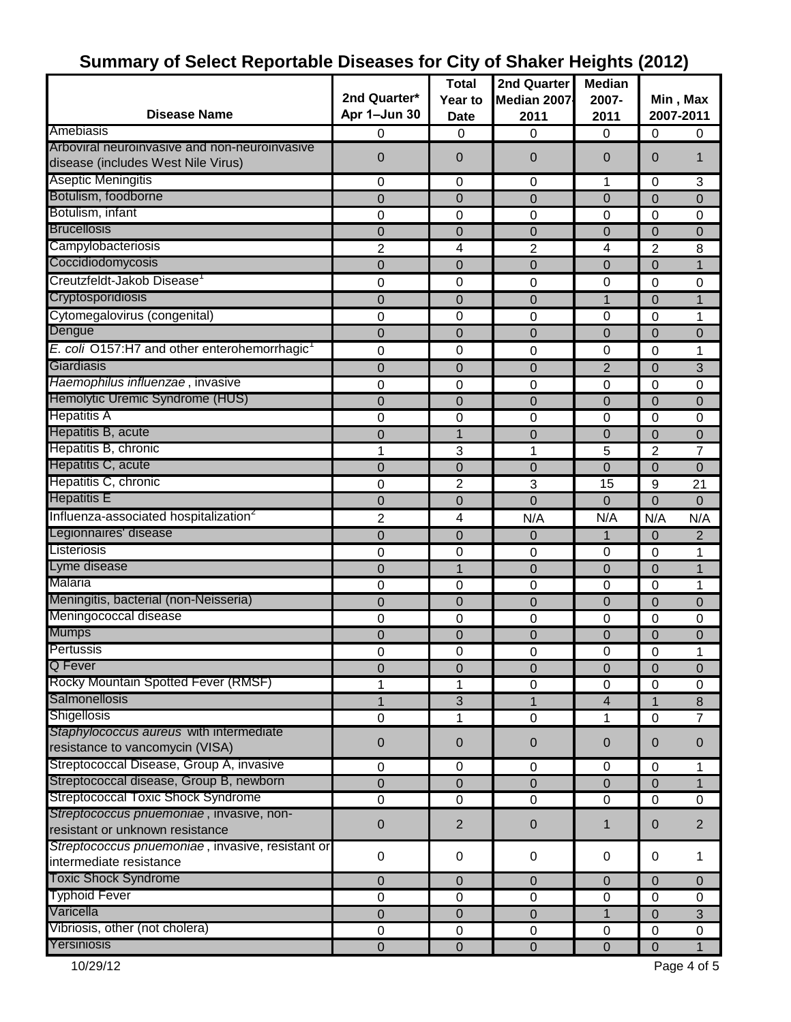|                                                   |                | <b>Total</b>     | 2nd Quarter    | <b>Median</b>           |                |                  |
|---------------------------------------------------|----------------|------------------|----------------|-------------------------|----------------|------------------|
|                                                   | 2nd Quarter*   | Year to          | Median 2007    | 2007-                   | Min, Max       |                  |
| <b>Disease Name</b>                               | Apr 1-Jun 30   | <b>Date</b>      | 2011           | 2011                    | 2007-2011      |                  |
| Amebiasis                                         | 0              | 0                | $\Omega$       | 0                       | 0              | $\Omega$         |
| Arboviral neuroinvasive and non-neuroinvasive     |                |                  |                |                         |                |                  |
| disease (includes West Nile Virus)                | 0              | $\mathbf 0$      | 0              | 0                       | 0              | 1                |
| Aseptic Meningitis                                | 0              | 0                | 0              | 1                       | 0              | 3                |
| Botulism, foodborne                               | 0              | $\overline{0}$   | 0              | 0                       | $\mathbf 0$    | $\overline{0}$   |
| Botulism, infant                                  | $\mathbf 0$    | 0                | 0              | $\mathbf 0$             | 0              | 0                |
| <b>Brucellosis</b>                                | 0              | $\mathbf 0$      | $\mathbf 0$    | 0                       | $\mathbf 0$    | $\overline{0}$   |
| Campylobacteriosis                                | $\overline{2}$ | 4                | 2              | 4                       | $\overline{2}$ |                  |
| Coccidiodomycosis                                 | 0              | $\overline{0}$   | 0              | 0                       | $\Omega$       | 8<br>1           |
| Creutzfeldt-Jakob Disease'                        |                |                  |                |                         |                |                  |
| Cryptosporidiosis                                 | 0              | 0                | 0              | 0                       | 0              | 0                |
|                                                   | 0              | $\overline{0}$   | 0              | 1                       | $\Omega$       | 1                |
| Cytomegalovirus (congenital)                      | 0              | 0                | 0              | $\pmb{0}$               | 0              | 1                |
| Dengue                                            | 0              | $\mathbf 0$      | $\pmb{0}$      | 0                       | $\mathbf 0$    | $\mathbf 0$      |
| E. coli O157:H7 and other enterohemorrhagic       | 0              | 0                | 0              | 0                       | 0              | 1                |
| Giardiasis                                        | 0              | $\Omega$         | $\Omega$       | $\overline{2}$          | $\mathbf 0$    | 3                |
| Haemophilus influenzae, invasive                  | $\mathbf 0$    | 0                | 0              | 0                       | $\mathbf 0$    | 0                |
| Hemolytic Uremic Syndrome (HUS)                   | 0              | $\mathbf 0$      | 0              | 0                       | $\overline{0}$ | $\mathbf 0$      |
| <b>Hepatitis A</b>                                | 0              | 0                | 0              | $\pmb{0}$               | 0              | 0                |
| Hepatitis B, acute                                | 0              | $\mathbf 1$      | 0              | 0                       | $\overline{0}$ | 0                |
| Hepatitis B, chronic                              | 1              | 3                | 1              | 5                       | $\overline{2}$ | 7                |
| Hepatitis C, acute                                | 0              | $\overline{0}$   | $\mathbf 0$    | $\Omega$                | $\overline{0}$ | 0                |
| Hepatitis C, chronic                              | 0              | $\overline{c}$   | 3              | 15                      | 9              | 21               |
| <b>Hepatitis E</b>                                | 0              | $\overline{0}$   | 0              | 0                       | $\mathbf 0$    | $\Omega$         |
| Influenza-associated hospitalization <sup>2</sup> | 2              | 4                | N/A            | N/A                     | N/A            | N/A              |
| Legionnaires' disease                             | 0              | 0                | 0              | 1                       | $\overline{0}$ | $\overline{2}$   |
| Listeriosis                                       | 0              | 0                | 0              | $\mathbf 0$             | $\mathbf 0$    | 1                |
| Lyme disease                                      | 0              | 1                | 0              | 0                       | $\mathbf 0$    | 1                |
| Malaria                                           | 0              | 0                | 0              | 0                       | 0              | 1                |
| Meningitis, bacterial (non-Neisseria)             | $\overline{0}$ | $\mathbf 0$      | 0              | 0                       | $\overline{0}$ | $\mathbf 0$      |
| Meningococcal disease                             | 0              | 0                | 0              | $\pmb{0}$               | 0              | 0                |
| <b>Mumps</b>                                      | 0              | $\mathbf 0$      | $\mathbf 0$    | 0                       | $\overline{0}$ | $\overline{0}$   |
| Pertussis                                         | 0              | 0                | 0              | 0                       | 0              | 1                |
| Q Fever                                           | 0              | $\overline{0}$   | $\overline{0}$ | $\overline{0}$          | $\overline{0}$ | $\mathbf 0$      |
| Rocky Mountain Spotted Fever (RMSF)               | 1              | 1                | $\mathbf 0$    | $\mathbf 0$             | $\mathbf 0$    | $\mathbf 0$      |
| Salmonellosis                                     | $\mathbf{1}$   | $\overline{3}$   | $\mathbf{1}$   | $\overline{\mathbf{4}}$ | 1              | $\bf 8$          |
| <b>Shigellosis</b>                                | $\mathbf 0$    | 1                | $\mathbf 0$    | 1                       | $\mathbf 0$    | $\overline{7}$   |
| Staphylococcus aureus with intermediate           |                |                  |                |                         |                |                  |
| resistance to vancomycin (VISA)                   | 0              | $\pmb{0}$        | 0              | $\pmb{0}$               | $\mathbf 0$    | $\mathbf 0$      |
| Streptococcal Disease, Group A, invasive          | $\pmb{0}$      | $\mathbf 0$      | $\mathbf 0$    | $\mathbf 0$             | 0              | 1                |
| Streptococcal disease, Group B, newborn           | 0              | $\pmb{0}$        | $\mathbf{0}$   | 0                       | $\overline{0}$ | 1                |
| <b>Streptococcal Toxic Shock Syndrome</b>         | $\mathbf 0$    | $\mathbf 0$      | $\mathbf 0$    | $\mathbf 0$             | $\mathbf 0$    | $\mathbf 0$      |
| Streptococcus pnuemoniae, invasive, non-          |                |                  |                |                         |                |                  |
| resistant or unknown resistance                   | 0              | $\overline{2}$   | $\mathbf{0}$   | $\mathbf{1}$            | $\mathbf 0$    | $\overline{2}$   |
| Streptococcus pnuemoniae, invasive, resistant or  |                |                  |                |                         |                |                  |
| intermediate resistance                           | $\mathbf 0$    | 0                | 0              | $\pmb{0}$               | 0              | 1                |
| <b>Toxic Shock Syndrome</b>                       | 0              | $\pmb{0}$        | $\mathbf{0}$   | 0                       | $\Omega$       | $\mathbf 0$      |
| <b>Typhoid Fever</b>                              | $\pmb{0}$      | $\pmb{0}$        | 0              | $\mathbf 0$             | $\mathbf 0$    | $\boldsymbol{0}$ |
| Varicella                                         | $\mathbf 0$    | $\boldsymbol{0}$ | $\pmb{0}$      | 1                       | $\overline{0}$ | $\sqrt{3}$       |
| Vibriosis, other (not cholera)                    | $\mathbf 0$    | $\pmb{0}$        | 0              | $\mathbf 0$             | 0              | $\boldsymbol{0}$ |
| Yersiniosis                                       | 0              | $\mathbf 0$      | $\mathbf 0$    | $\overline{0}$          | $\Omega$       | $\mathbf{1}$     |
| 10/29/12                                          |                |                  |                |                         |                | Page 4 of 5      |

# **Summary of Select Reportable Diseases for City of Shaker Heights (2012)**